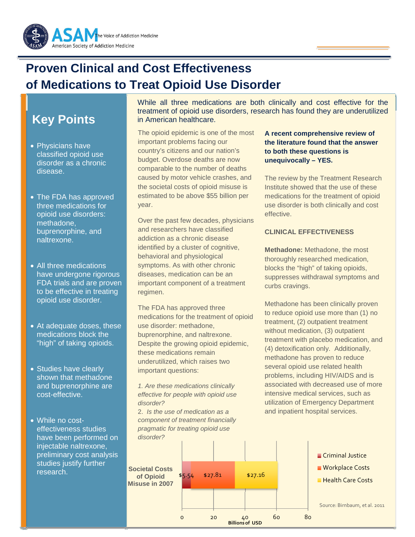

# **Proven Clinical and Cost Effectiveness of Medications to Treat Opioid Use Disorder**

## **Key Points**

- Physicians have classified opioid use disorder as a chronic disease.
- The FDA has approved three medications for opioid use disorders: methadone, buprenorphine, and naltrexone.
- All three medications have undergone rigorous FDA trials and are proven to be effective in treating opioid use disorder.
- At adequate doses, these medications block the "high" of taking opioids.
- Studies have clearly shown that methadone and buprenorphine are cost-effective.
- While no costeffectiveness studies have been performed on injectable naltrexone, preliminary cost analysis studies justify further research.

While all three medications are both clinically and cost effective for the treatment of opioid use disorders, research has found they are underutilized in American healthcare.

The opioid epidemic is one of the most important problems facing our country's citizens and our nation's budget. Overdose deaths are now comparable to the number of deaths caused by motor vehicle crashes, and the societal costs of opioid misuse is estimated to be above \$55 billion per year.

Over the past few decades, physicians and researchers have classified addiction as a chronic disease identified by a cluster of cognitive, behavioral and physiological symptoms. As with other chronic diseases, medication can be an important component of a treatment regimen.

The FDA has approved three medications for the treatment of opioid use disorder: methadone, buprenorphine, and naltrexone. Despite the growing opioid epidemic, these medications remain underutilized, which raises two important questions:

1. Are these medications clinically effective for people with opioid use disorder?

2. Is the use of medication as a component of treatment financially pragmatic for treating opioid use disorder?

**of Opioid** 

#### **A recent comprehensive review of the literature found that the answer to both these questions is unequivocally – YES.**

The review by the Treatment Research Institute showed that the use of these medications for the treatment of opioid use disorder is both clinically and cost effective.

#### **CLINICAL EFFECTIVENESS**

**Methadone:** Methadone, the most thoroughly researched medication, blocks the "high" of taking opioids, suppresses withdrawal symptoms and curbs cravings.

Methadone has been clinically proven to reduce opioid use more than (1) no treatment, (2) outpatient treatment without medication, (3) outpatient treatment with placebo medication, and (4) detoxification only. Additionally, methadone has proven to reduce several opioid use related health problems, including HIV/AIDS and is associated with decreased use of more intensive medical services, such as utilization of Emergency Department and inpatient hospital services.